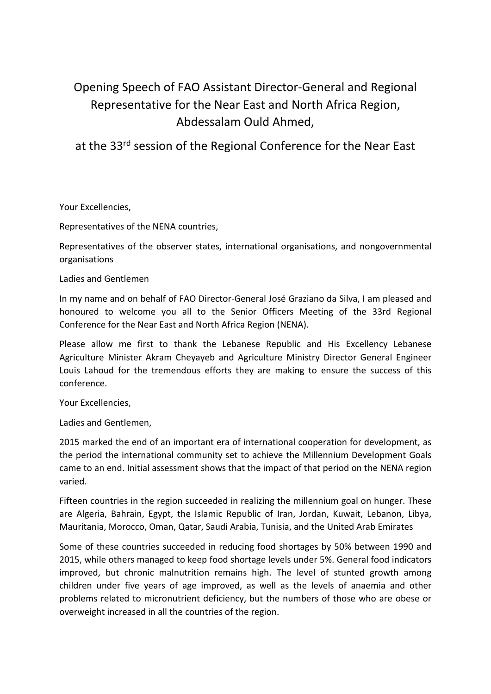# Opening Speech of FAO Assistant Director-General and Regional Representative for the Near East and North Africa Region, Abdessalam Ould Ahmed,

at the 33rd session of the Regional Conference for the Near East

Your Excellencies,

Representatives of the NENA countries,

Representatives of the observer states, international organisations, and nongovernmental organisations

Ladies and Gentlemen

In my name and on behalf of FAO Director-General José Graziano da Silva, I am pleased and honoured to welcome you all to the Senior Officers Meeting of the 33rd Regional Conference for the Near East and North Africa Region (NENA).

Please allow me first to thank the Lebanese Republic and His Excellency Lebanese Agriculture Minister Akram Cheyayeb and Agriculture Ministry Director General Engineer Louis Lahoud for the tremendous efforts they are making to ensure the success of this conference.

Your Excellencies,

Ladies and Gentlemen,

2015 marked the end of an important era of international cooperation for development, as the period the international community set to achieve the Millennium Development Goals came to an end. Initial assessment shows that the impact of that period on the NENA region varied.

Fifteen countries in the region succeeded in realizing the millennium goal on hunger. These are Algeria, Bahrain, Egypt, the Islamic Republic of Iran, Jordan, Kuwait, Lebanon, Libya, Mauritania, Morocco, Oman, Qatar, Saudi Arabia, Tunisia, and the United Arab Emirates

Some of these countries succeeded in reducing food shortages by 50% between 1990 and 2015, while others managed to keep food shortage levels under 5%. General food indicators improved, but chronic malnutrition remains high. The level of stunted growth among children under five years of age improved, as well as the levels of anaemia and other problems related to micronutrient deficiency, but the numbers of those who are obese or overweight increased in all the countries of the region.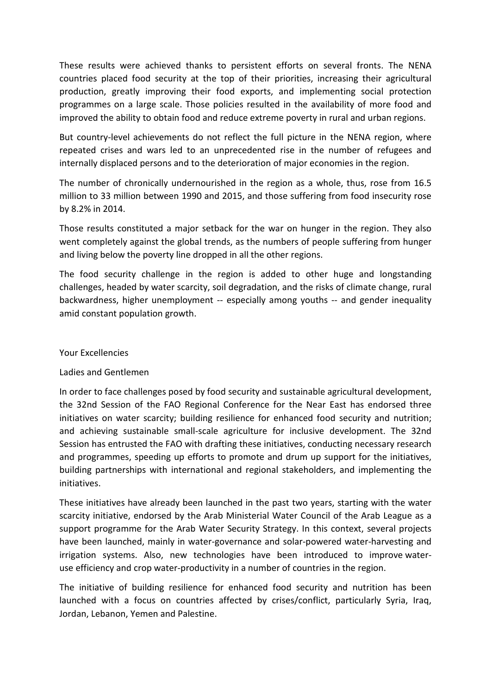These results were achieved thanks to persistent efforts on several fronts. The NENA countries placed food security at the top of their priorities, increasing their agricultural production, greatly improving their food exports, and implementing social protection programmes on a large scale. Those policies resulted in the availability of more food and improved the ability to obtain food and reduce extreme poverty in rural and urban regions.

But country-level achievements do not reflect the full picture in the NENA region, where repeated crises and wars led to an unprecedented rise in the number of refugees and internally displaced persons and to the deterioration of major economies in the region.

The number of chronically undernourished in the region as a whole, thus, rose from 16.5 million to 33 million between 1990 and 2015, and those suffering from food insecurity rose by 8.2% in 2014.

Those results constituted a major setback for the war on hunger in the region. They also went completely against the global trends, as the numbers of people suffering from hunger and living below the poverty line dropped in all the other regions.

The food security challenge in the region is added to other huge and longstanding challenges, headed by water scarcity, soil degradation, and the risks of climate change, rural backwardness, higher unemployment -- especially among youths -- and gender inequality amid constant population growth.

### Your Excellencies

# Ladies and Gentlemen

In order to face challenges posed by food security and sustainable agricultural development, the 32nd Session of the FAO Regional Conference for the Near East has endorsed three initiatives on water scarcity; building resilience for enhanced food security and nutrition; and achieving sustainable small-scale agriculture for inclusive development. The 32nd Session has entrusted the FAO with drafting these initiatives, conducting necessary research and programmes, speeding up efforts to promote and drum up support for the initiatives, building partnerships with international and regional stakeholders, and implementing the initiatives.

These initiatives have already been launched in the past two years, starting with the water scarcity initiative, endorsed by the Arab Ministerial Water Council of the Arab League as a support programme for the Arab Water Security Strategy. In this context, several projects have been launched, mainly in water-governance and solar-powered water-harvesting and irrigation systems. Also, new technologies have been introduced to improve wateruse efficiency and crop water-productivity in a number of countries in the region.

The initiative of building resilience for enhanced food security and nutrition has been launched with a focus on countries affected by crises/conflict, particularly Syria, Iraq, Jordan, Lebanon, Yemen and Palestine.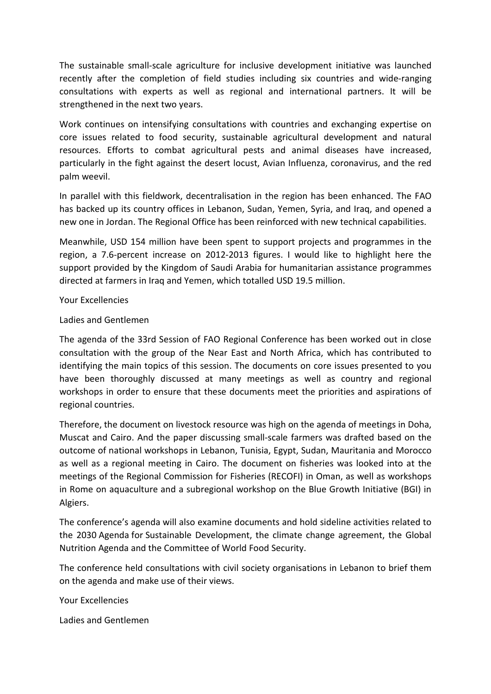The sustainable small-scale agriculture for inclusive development initiative was launched recently after the completion of field studies including six countries and wide-ranging consultations with experts as well as regional and international partners. It will be strengthened in the next two years.

Work continues on intensifying consultations with countries and exchanging expertise on core issues related to food security, sustainable agricultural development and natural resources. Efforts to combat agricultural pests and animal diseases have increased, particularly in the fight against the desert locust, Avian Influenza, coronavirus, and the red palm weevil.

In parallel with this fieldwork, decentralisation in the region has been enhanced. The FAO has backed up its country offices in Lebanon, Sudan, Yemen, Syria, and Iraq, and opened a new one in Jordan. The Regional Office has been reinforced with new technical capabilities.

Meanwhile, USD 154 million have been spent to support projects and programmes in the region, a 7.6-percent increase on 2012-2013 figures. I would like to highlight here the support provided by the Kingdom of Saudi Arabia for humanitarian assistance programmes directed at farmers in Iraq and Yemen, which totalled USD 19.5 million.

#### Your Excellencies

## Ladies and Gentlemen

The agenda of the 33rd Session of FAO Regional Conference has been worked out in close consultation with the group of the Near East and North Africa, which has contributed to identifying the main topics of this session. The documents on core issues presented to you have been thoroughly discussed at many meetings as well as country and regional workshops in order to ensure that these documents meet the priorities and aspirations of regional countries.

Therefore, the document on livestock resource was high on the agenda of meetings in Doha, Muscat and Cairo. And the paper discussing small-scale farmers was drafted based on the outcome of national workshops in Lebanon, Tunisia, Egypt, Sudan, Mauritania and Morocco as well as a regional meeting in Cairo. The document on fisheries was looked into at the meetings of the Regional Commission for Fisheries (RECOFI) in Oman, as well as workshops in Rome on aquaculture and a subregional workshop on the Blue Growth Initiative (BGI) in Algiers.

The conference's agenda will also examine documents and hold sideline activities related to the 2030 Agenda for Sustainable Development, the climate change agreement, the Global Nutrition Agenda and the Committee of World Food Security.

The conference held consultations with civil society organisations in Lebanon to brief them on the agenda and make use of their views.

Your Excellencies

Ladies and Gentlemen